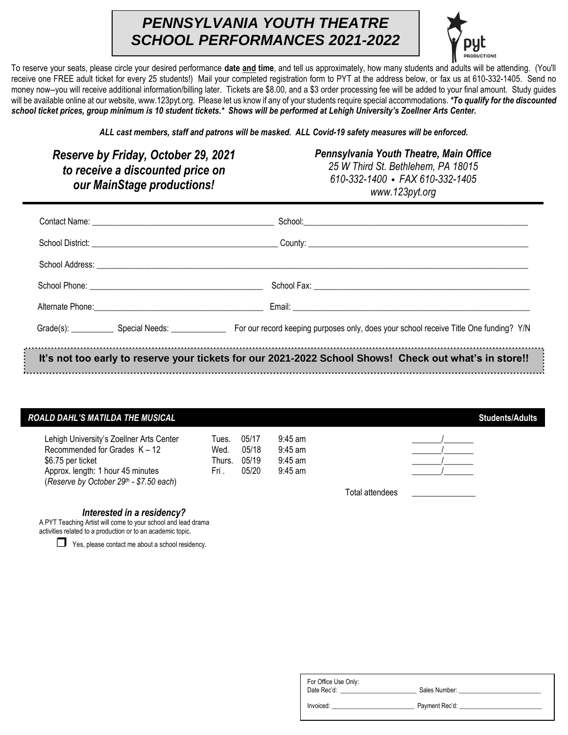## *PENNSYLVANIA YOUTH THEATRE SCHOOL PERFORMANCES 2021-2022*



To reserve your seats, please circle your desired performance **date and time**, and tell us approximately, how many students and adults will be attending. (You'll receive one FREE adult ticket for every 25 students!) Mail your completed registration form to PYT at the address below, or fax us at 610-332-1405. Send no money now--you will receive additional information/billing later. Tickets are \$8.00, and a \$3 order processing fee will be added to your final amount. Study guides will be available online at our website, www.123pyt.org. Please let us know if any of your students require special accommodations. *\*To qualify for the discounted school ticket prices, group minimum is 10 student tickets.\* Shows will be performed at Lehigh University's Zoellner Arts Center.* 

*ALL cast members, staff and patrons will be masked. ALL Covid-19 safety measures will be enforced.*

*Reserve by Friday, October 29, 2021 to receive a discounted price on our MainStage productions!*

*Pennsylvania Youth Theatre, Main Office 25 W Third St. Bethlehem, PA 18015* 

*610-332-1400* **•** *FAX 610-332-1405 www.123pyt.org*

| Grade(s): Special Needs: Special Needs: For our record keeping purposes only, does your school receive Title One funding? Y/N |
|-------------------------------------------------------------------------------------------------------------------------------|
| It's not too early to reserve your tickets for our 2021-2022 School Shows! Check out what's in store!!                        |

## ROALD DAHL'S MATILDA THE MUSICAL **Students Adults** Students Adults

| Lehigh University's Zoellner Arts Center<br>Recommended for Grades $K - 12$<br>\$6.75 per ticket | Tues.<br>Wed.<br>Thurs. | 05/17<br>05/18<br>05/19 | $9:45$ am<br>$9:45$ am<br>$9:45$ am |  |
|--------------------------------------------------------------------------------------------------|-------------------------|-------------------------|-------------------------------------|--|
| Approx. length: 1 hour 45 minutes                                                                | Fri                     | 05/20                   | $9:45$ am                           |  |
| (Reserve by October 29th - \$7.50 each)                                                          |                         |                         |                                     |  |

Total attendees \_\_\_\_\_\_\_\_\_\_\_\_\_\_\_

*Interested in a residency?*

A PYT Teaching Artist will come to your school and lead drama activities related to a production or to an academic topic.

 $\Box$  Yes, please contact me about a school residency.

| For Office Use Only:<br>Date Rec'd: | Sales Number:  |  |
|-------------------------------------|----------------|--|
| Invoiced:                           | Payment Rec'd: |  |